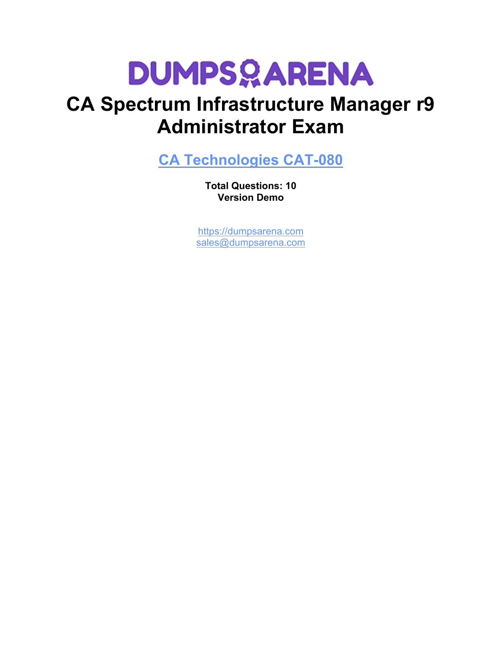# **DUMPSOARENA**

# **CA Spectrum Infrastructure Manager r9 Administrator Exam**

**[CA Technologies CAT-080](https://dumpsarena.com/exam/cat-080/)**

**Total Questions: 10 Version Demo**

[https://dumpsarena.com](https://dumpsarena.com/) [sales@dumpsarena.com](mailto:sales@dumpsarena.com)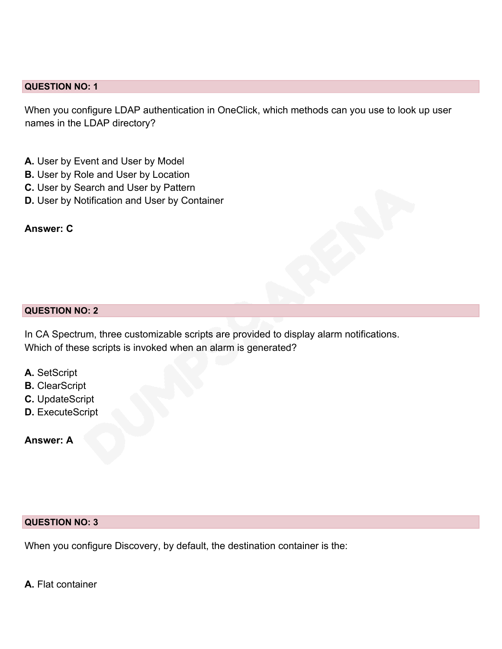### **QUESTION NO: 1**

When you configure LDAP authentication in OneClick, which methods can you use to look up user names in the LDAP directory?

- **A.** User by Event and User by Model
- **B.** User by Role and User by Location
- **C.** User by Search and User by Pattern
- **D.** User by Notification and User by Container

# **Answer: C**

#### **QUESTION NO: 2**

In CA Spectrum, three customizable scripts are provided to display alarm notifications. Which of these scripts is invoked when an alarm is generated?

- **A.** SetScript
- **B.** ClearScript
- **C.** UpdateScript
- **D.** ExecuteScript

**Answer: A**

### **QUESTION NO: 3**

When you configure Discovery, by default, the destination container is the:

**A.** Flat container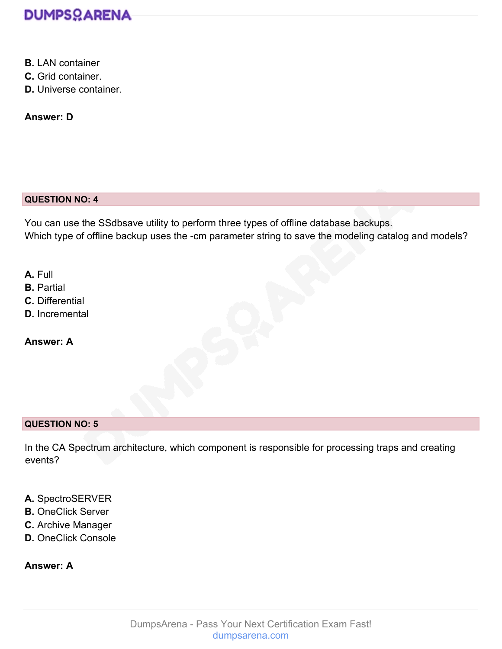

- **B.** LAN container
- **C.** Grid container.
- **D.** Universe container.

**Answer: D**

# **QUESTION NO: 4**

You can use the SSdbsave utility to perform three types of offline database backups. Which type of offline backup uses the -cm parameter string to save the modeling catalog and models?

**A.** Full

- **B.** Partial
- **C.** Differential
- **D.** Incremental

**Answer: A**

# **QUESTION NO: 5**

In the CA Spectrum architecture, which component is responsible for processing traps and creating events?

- **A.** SpectroSERVER
- **B.** OneClick Server
- **C.** Archive Manager
- **D.** OneClick Console

# **Answer: A**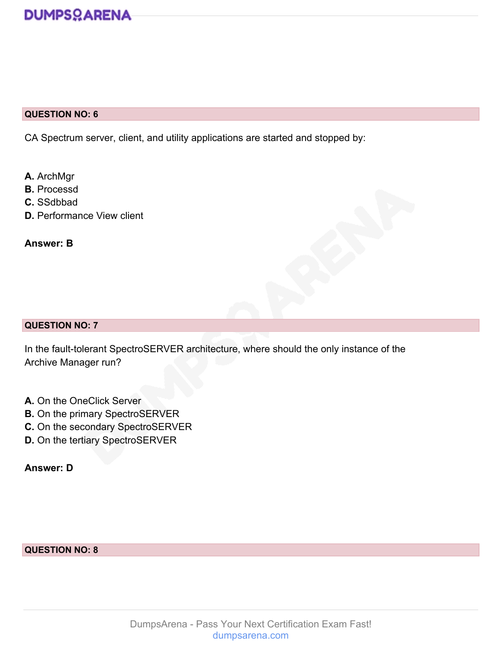## **QUESTION NO: 6**

CA Spectrum server, client, and utility applications are started and stopped by:

- **A.** ArchMgr
- **B.** Processd
- **C.** SSdbbad
- **D.** Performance View client

**Answer: B**

#### **QUESTION NO: 7**

In the fault-tolerant SpectroSERVER architecture, where should the only instance of the Archive Manager run?

- **A.** On the OneClick Server
- **B.** On the primary SpectroSERVER
- **C.** On the secondary SpectroSERVER
- **D.** On the tertiary SpectroSERVER

**Answer: D**

### **QUESTION NO: 8**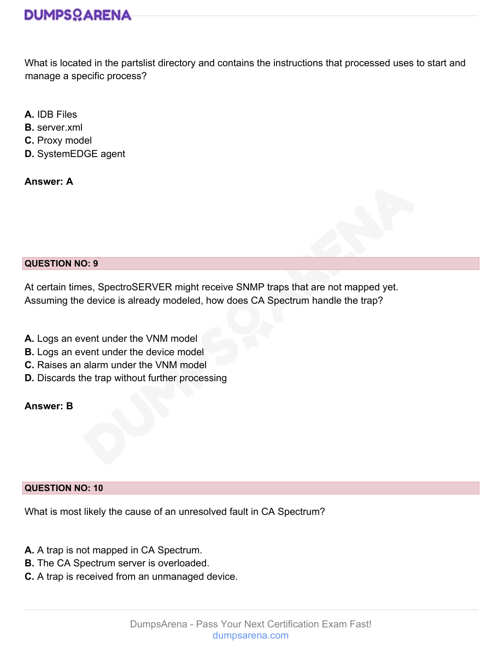What is located in the partslist directory and contains the instructions that processed uses to start and manage a specific process?

- **A.** IDB Files
- **B.** server.xml
- **C.** Proxy model
- **D.** SystemEDGE agent

**Answer: A**



At certain times, SpectroSERVER might receive SNMP traps that are not mapped yet. Assuming the device is already modeled, how does CA Spectrum handle the trap?

- **A.** Logs an event under the VNM model
- **B.** Logs an event under the device model
- **C.** Raises an alarm under the VNM model
- **D.** Discards the trap without further processing

**Answer: B**

# **QUESTION NO: 10**

What is most likely the cause of an unresolved fault in CA Spectrum?

- **A.** A trap is not mapped in CA Spectrum.
- **B.** The CA Spectrum server is overloaded.
- **C.** A trap is received from an unmanaged device.